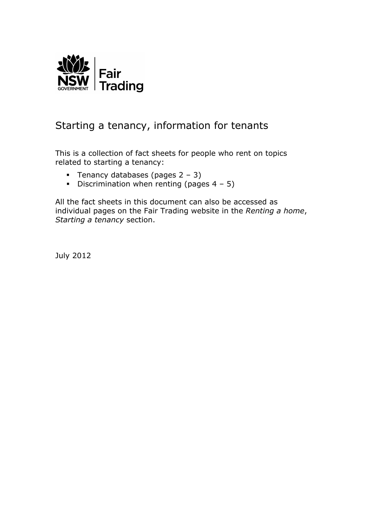

# Starting a tenancy, information for tenants

This is a collection of fact sheets for people who rent on topics related to starting a tenancy:

- **Tenancy databases (pages 2 3)**
- Discrimination when renting (pages  $4 5$ )

All the fact sheets in this document can also be accessed as individual pages on the Fair Trading website in the *Renting a home*, *Starting a tenancy* section.

July 2012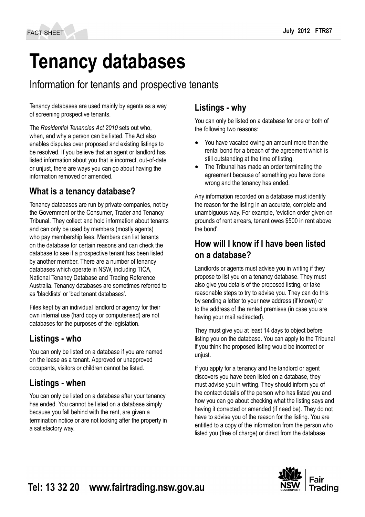# **Tenancy databases**

# Information for tenants and prospective tenants

Tenancy databases are used mainly by agents as a way of screening prospective tenants.

The *Residential Tenancies Act 2010* sets out who, when, and why a person can be listed. The Act also enables disputes over proposed and existing listings to be resolved. If you believe that an agent or landlord has listed information about you that is incorrect, out‑of-date or unjust, there are ways you can go about having the information removed or amended.

# **What is a tenancy database?**

Tenancy databases are run by private companies, not by the Government or the Consumer, Trader and Tenancy Tribunal. They collect and hold information about tenants and can only be used by members (mostly agents) who pay membership fees. Members can list tenants on the database for certain reasons and can check the database to see if a prospective tenant has been listed by another member. There are a number of tenancy databases which operate in NSW, including TICA, National Tenancy Database and Trading Reference Australia. Tenancy databases are sometimes referred to as 'blacklists' or 'bad tenant databases'.

Files kept by an individual landlord or agency for their own internal use (hard copy or computerised) are not databases for the purposes of the legislation.

#### **Listings - who**

You can only be listed on a database if you are named on the lease as a tenant. Approved or unapproved occupants, visitors or children cannot be listed.

## **Listings - when**

You can only be listed on a database after your tenancy has ended. You cannot be listed on a database simply because you fall behind with the rent, are given a termination notice or are not looking after the property in a satisfactory way.

#### **Listings - why**

You can only be listed on a database for one or both of the following two reasons:

- You have vacated owing an amount more than the rental bond for a breach of the agreement which is still outstanding at the time of listing.
- The Tribunal has made an order terminating the agreement because of something you have done wrong and the tenancy has ended.

Any information recorded on a database must identify the reason for the listing in an accurate, complete and unambiguous way. For example, 'eviction order given on grounds of rent arrears, tenant owes \$500 in rent above the bond'.

#### **How will I know if I have been listed on a database?**

Landlords or agents must advise you in writing if they propose to list you on a tenancy database. They must also give you details of the proposed listing, or take reasonable steps to try to advise you. They can do this by sending a letter to your new address (if known) or to the address of the rented premises (in case you are having your mail redirected).

They must give you at least 14 days to object before listing you on the database. You can apply to the Tribunal if you think the proposed listing would be incorrect or unjust.

If you apply for a tenancy and the landlord or agent discovers you have been listed on a database, they must advise you in writing. They should inform you of the contact details of the person who has listed you and how you can go about checking what the listing says and having it corrected or amended (if need be). They do not have to advise you of the reason for the listing. You are entitled to a copy of the information from the person who listed you (free of charge) or direct from the database

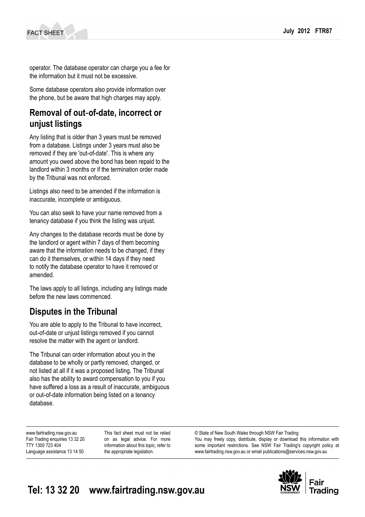operator. The database operator can charge you a fee for the information but it must not be excessive.

Some database operators also provide information over the phone, but be aware that high charges may apply.

#### **Removal of out**‑**of-date, incorrect or unjust listings**

Any listing that is older than 3 years must be removed from a database. Listings under 3 years must also be removed if they are 'out‑of-date'. This is where any amount you owed above the bond has been repaid to the landlord within 3 months or if the termination order made by the Tribunal was not enforced.

Listings also need to be amended if the information is inaccurate, incomplete or ambiguous.

You can also seek to have your name removed from a tenancy database if you think the listing was unjust.

Any changes to the database records must be done by the landlord or agent within 7 days of them becoming aware that the information needs to be changed, if they can do it themselves, or within 14 days if they need to notify the database operator to have it removed or amended.

The laws apply to all listings, including any listings made before the new laws commenced.

#### **Disputes in the Tribunal**

You are able to apply to the Tribunal to have incorrect, out‑of-date or unjust listings removed if you cannot resolve the matter with the agent or landlord.

The Tribunal can order information about you in the database to be wholly or partly removed, changed, or not listed at all if it was a proposed listing. The Tribunal also has the ability to award compensation to you if you have suffered a loss as a result of inaccurate, ambiguous or out‑of-date information being listed on a tenancy database.

www.fairtrading.nsw.gov.au Fair Trading enquiries 13 32 20 TTY 1300 723 404 Language assistance 13 14 50

This fact sheet must not be relied on as legal advice. For more information about this topic, refer to the appropriate legislation.

© State of New South Wales through NSW Fair Trading You may freely copy, distribute, display or download this information with some important restrictions. See NSW Fair Trading's [copyright policy](http://www.fairtrading.nsw.gov.au/Copyright.html) at www.fairtrading.nsw.gov.au or email [publications@services.nsw.gov.au](mailto:publications@services.nsw.gov.au)

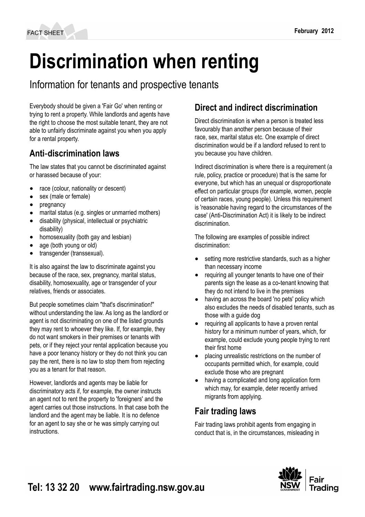# **Discrimination when renting**

Information for tenants and prospective tenants

Everybody should be given a 'Fair Go' when renting or trying to rent a property. While landlords and agents have the right to choose the most suitable tenant, they are not able to unfairly discriminate against you when you apply for a rental property.

## **Anti**‑**discrimination laws**

The law states that you cannot be discriminated against or harassed because of your:

- race (colour, nationality or descent)
- sex (male or female)
- pregnancy
- marital status (e.g. singles or unmarried mothers)
- disability (physical, intellectual or psychiatric disability)
- homosexuality (both gay and lesbian)
- age (both young or old)
- transgender (transsexual).

It is also against the law to discriminate against you because of the race, sex, pregnancy, marital status, disability, homosexuality, age or transgender of your relatives, friends or associates.

But people sometimes claim "that's discrimination!" without understanding the law. As long as the landlord or agent is not discriminating on one of the listed grounds they may rent to whoever they like. If, for example, they do not want smokers in their premises or tenants with pets, or if they reject your rental application because you have a poor tenancy history or they do not think you can pay the rent, there is no law to stop them from rejecting you as a tenant for that reason.

However, landlords and agents may be liable for discriminatory acts if, for example, the owner instructs an agent not to rent the property to 'foreigners' and the agent carries out those instructions. In that case both the landlord and the agent may be liable. It is no defence for an agent to say she or he was simply carrying out instructions.

# **Direct and indirect discrimination**

Direct discrimination is when a person is treated less favourably than another person because of their race, sex, marital status etc. One example of direct discrimination would be if a landlord refused to rent to you because you have children.

Indirect discrimination is where there is a requirement (a rule, policy, practice or procedure) that is the same for everyone, but which has an unequal or disproportionate effect on particular groups (for example, women, people of certain races, young people). Unless this requirement is 'reasonable having regard to the circumstances of the case' (Anti‑Discrimination Act) it is likely to be indirect discrimination.

The following are examples of possible indirect discrimination:

- setting more restrictive standards, such as a higher than necessary income
- requiring all younger tenants to have one of their parents sign the lease as a co-tenant knowing that they do not intend to live in the premises
- having an across the board 'no pets' policy which also excludes the needs of disabled tenants, such as those with a guide dog
- requiring all applicants to have a proven rental history for a minimum number of years, which, for example, could exclude young people trying to rent their first home
- placing unrealistic restrictions on the number of occupants permitted which, for example, could exclude those who are pregnant
- having a complicated and long application form which may, for example, deter recently arrived migrants from applying.

# **Fair trading laws**

Fair trading laws prohibit agents from engaging in conduct that is, in the circumstances, misleading in